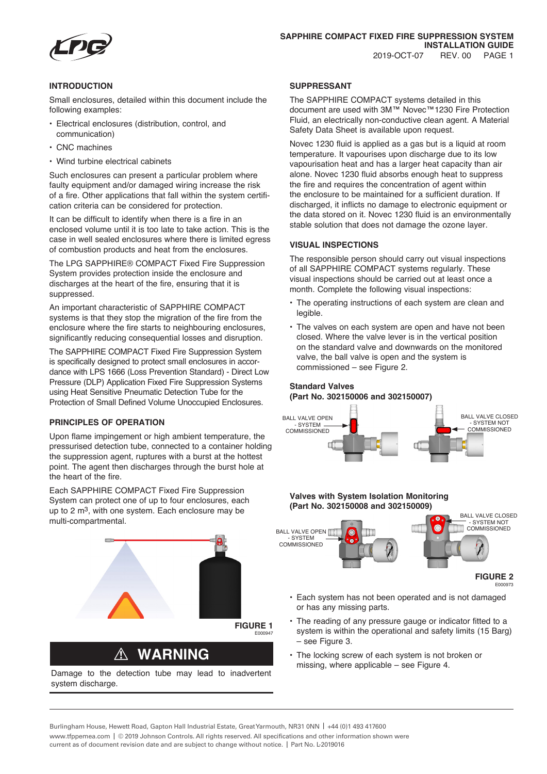

## **INTRODUCTION**

Small enclosures, detailed within this document include the following examples:

- Electrical enclosures (distribution, control, and communication)
- CNC machines
- Wind turbine electrical cabinets

Such enclosures can present a particular problem where faulty equipment and/or damaged wiring increase the risk of a fire. Other applications that fall within the system certification criteria can be considered for protection.

It can be difficult to identify when there is a fire in an enclosed volume until it is too late to take action. This is the case in well sealed enclosures where there is limited egress of combustion products and heat from the enclosures.

The LPG SAPPHIRE® COMPACT Fixed Fire Suppression System provides protection inside the enclosure and discharges at the heart of the fire, ensuring that it is suppressed.

An important characteristic of SAPPHIRE COMPACT systems is that they stop the migration of the fire from the enclosure where the fire starts to neighbouring enclosures, significantly reducing consequential losses and disruption.

The SAPPHIRE COMPACT Fixed Fire Suppression System is specifically designed to protect small enclosures in accordance with LPS 1666 (Loss Prevention Standard) - Direct Low Pressure (DLP) Application Fixed Fire Suppression Systems using Heat Sensitive Pneumatic Detection Tube for the Protection of Small Defined Volume Unoccupied Enclosures.

# **PRINCIPLES OF OPERATION**

Upon flame impingement or high ambient temperature, the pressurised detection tube, connected to a container holding the suppression agent, ruptures with a burst at the hottest point. The agent then discharges through the burst hole at the heart of the fire.

Each SAPPHIRE COMPACT Fixed Fire Suppression System can protect one of up to four enclosures, each up to 2 m<sup>3</sup>, with one system. Each enclosure may be multi-compartmental.



# ! **WARNING**

Damage to the detection tube may lead to inadvertent system discharge.

### **SUPPRESSANT**

The SAPPHIRE COMPACT systems detailed in this document are used with 3M™ Novec™1230 Fire Protection Fluid, an electrically non-conductive clean agent. A Material Safety Data Sheet is available upon request.

Novec 1230 fluid is applied as a gas but is a liquid at room temperature. It vapourises upon discharge due to its low vapourisation heat and has a larger heat capacity than air alone. Novec 1230 fluid absorbs enough heat to suppress the fire and requires the concentration of agent within the enclosure to be maintained for a sufficient duration. If discharged, it inflicts no damage to electronic equipment or the data stored on it. Novec 1230 fluid is an environmentally stable solution that does not damage the ozone layer.

#### **VISUAL INSPECTIONS**

The responsible person should carry out visual inspections of all SAPPHIRE COMPACT systems regularly. These visual inspections should be carried out at least once a month. Complete the following visual inspections:

- The operating instructions of each system are clean and legible.
- The valves on each system are open and have not been closed. Where the valve lever is in the vertical position on the standard valve and downwards on the monitored valve, the ball valve is open and the system is commissioned – see Figure 2.

# **Standard Valves (Part No. 302150006 and 302150007)**





- Each system has not been operated and is not damaged or has any missing parts.
- The reading of any pressure gauge or indicator fitted to a system is within the operational and safety limits (15 Barg) – see Figure 3.
- The locking screw of each system is not broken or missing, where applicable – see Figure 4.